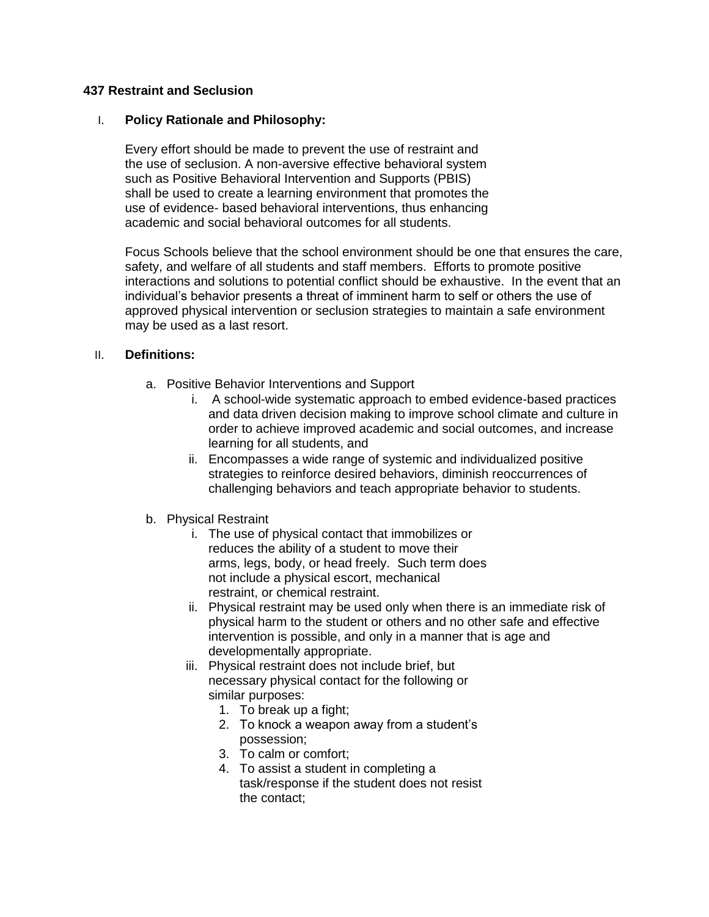### **437 Restraint and Seclusion**

### I. **Policy Rationale and Philosophy:**

Every effort should be made to prevent the use of restraint and the use of seclusion. A non-aversive effective behavioral system such as Positive Behavioral Intervention and Supports (PBIS) shall be used to create a learning environment that promotes the use of evidence- based behavioral interventions, thus enhancing academic and social behavioral outcomes for all students.

Focus Schools believe that the school environment should be one that ensures the care, safety, and welfare of all students and staff members. Efforts to promote positive interactions and solutions to potential conflict should be exhaustive. In the event that an individual's behavior presents a threat of imminent harm to self or others the use of approved physical intervention or seclusion strategies to maintain a safe environment may be used as a last resort.

#### II. **Definitions:**

- a. Positive Behavior Interventions and Support
	- i. A school-wide systematic approach to embed evidence-based practices and data driven decision making to improve school climate and culture in order to achieve improved academic and social outcomes, and increase learning for all students, and
	- ii. Encompasses a wide range of systemic and individualized positive strategies to reinforce desired behaviors, diminish reoccurrences of challenging behaviors and teach appropriate behavior to students.
- b. Physical Restraint
	- i. The use of physical contact that immobilizes or reduces the ability of a student to move their arms, legs, body, or head freely.Such term does not include a physical escort, mechanical restraint, or chemical restraint.
	- ii. Physical restraint may be used only when there is an immediate risk of physical harm to the student or others and no other safe and effective intervention is possible, and only in a manner that is age and developmentally appropriate.
	- iii. Physical restraint does not include brief, but necessary physical contact for the following or similar purposes:
		- 1. To break up a fight;
		- 2. To knock a weapon away from a student's possession;
		- 3. To calm or comfort;
		- 4. To assist a student in completing a task/response if the student does not resist the contact;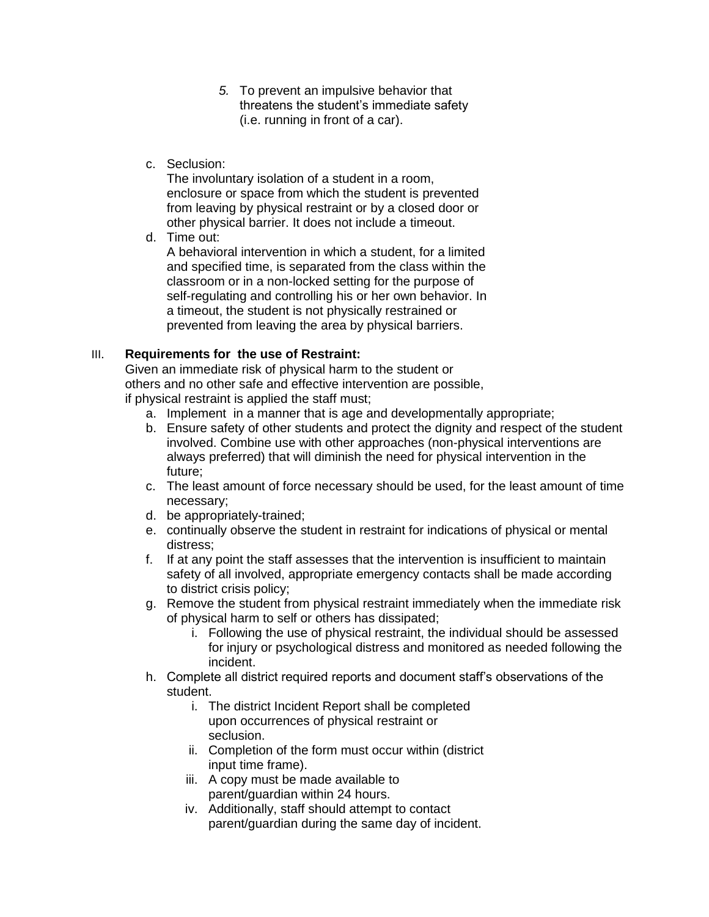- *5.* To prevent an impulsive behavior that threatens the student's immediate safety (i.e. running in front of a car).
- c. Seclusion:

The involuntary isolation of a student in a room, enclosure or space from which the student is prevented from leaving by physical restraint or by a closed door or other physical barrier. It does not include a timeout.

d. Time out:

A behavioral intervention in which a student, for a limited and specified time, is separated from the class within the classroom or in a non-locked setting for the purpose of self-regulating and controlling his or her own behavior. In a timeout, the student is not physically restrained or prevented from leaving the area by physical barriers.

# III. **Requirements for the use of Restraint:**

Given an immediate risk of physical harm to the student or others and no other safe and effective intervention are possible, if physical restraint is applied the staff must;

- a. Implement in a manner that is age and developmentally appropriate;
- b. Ensure safety of other students and protect the dignity and respect of the student involved. Combine use with other approaches (non-physical interventions are always preferred) that will diminish the need for physical intervention in the future;
- c. The least amount of force necessary should be used, for the least amount of time necessary;
- d. be appropriately-trained;
- e. continually observe the student in restraint for indications of physical or mental distress;
- f. If at any point the staff assesses that the intervention is insufficient to maintain safety of all involved, appropriate emergency contacts shall be made according to district crisis policy;
- g. Remove the student from physical restraint immediately when the immediate risk of physical harm to self or others has dissipated;
	- i. Following the use of physical restraint, the individual should be assessed for injury or psychological distress and monitored as needed following the incident.
- h. Complete all district required reports and document staff's observations of the student.
	- i. The district Incident Report shall be completed upon occurrences of physical restraint or seclusion.
	- ii. Completion of the form must occur within (district input time frame).
	- iii. A copy must be made available to parent/guardian within 24 hours.
	- iv. Additionally, staff should attempt to contact parent/guardian during the same day of incident.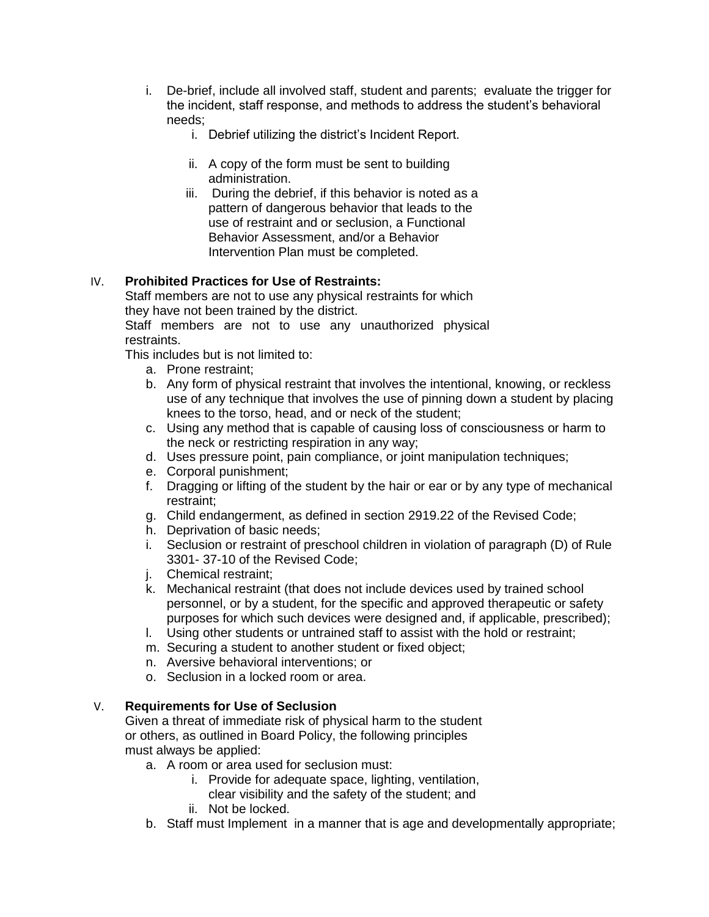- i. De-brief, include all involved staff, student and parents; evaluate the trigger for the incident, staff response, and methods to address the student's behavioral needs;
	- i. Debrief utilizing the district's Incident Report.
	- ii. A copy of the form must be sent to building administration.
	- iii. During the debrief, if this behavior is noted as a pattern of dangerous behavior that leads to the use of restraint and or seclusion, a Functional Behavior Assessment, and/or a Behavior Intervention Plan must be completed.

## IV. **Prohibited Practices for Use of Restraints:**

Staff members are not to use any physical restraints for which they have not been trained by the district.

Staff members are not to use any unauthorized physical restraints.

This includes but is not limited to:

- a. Prone restraint;
- b. Any form of physical restraint that involves the intentional, knowing, or reckless use of any technique that involves the use of pinning down a student by placing knees to the torso, head, and or neck of the student;
- c. Using any method that is capable of causing loss of consciousness or harm to the neck or restricting respiration in any way;
- d. Uses pressure point, pain compliance, or joint manipulation techniques;
- e. Corporal punishment;
- f. Dragging or lifting of the student by the hair or ear or by any type of mechanical restraint;
- g. Child endangerment, as defined in section 2919.22 of the Revised Code;
- h. Deprivation of basic needs;
- i. Seclusion or restraint of preschool children in violation of paragraph (D) of Rule 3301- 37-10 of the Revised Code;
- j. Chemical restraint;
- k. Mechanical restraint (that does not include devices used by trained school personnel, or by a student, for the specific and approved therapeutic or safety purposes for which such devices were designed and, if applicable, prescribed);
- l. Using other students or untrained staff to assist with the hold or restraint;
- m. Securing a student to another student or fixed object;
- n. Aversive behavioral interventions; or
- o. Seclusion in a locked room or area.

#### V. **Requirements for Use of Seclusion**

Given a threat of immediate risk of physical harm to the student or others, as outlined in Board Policy, the following principles must always be applied:

- a. A room or area used for seclusion must:
	- i. Provide for adequate space, lighting, ventilation, clear visibility and the safety of the student; and
	- ii. Not be locked.
- b. Staff must Implement in a manner that is age and developmentally appropriate;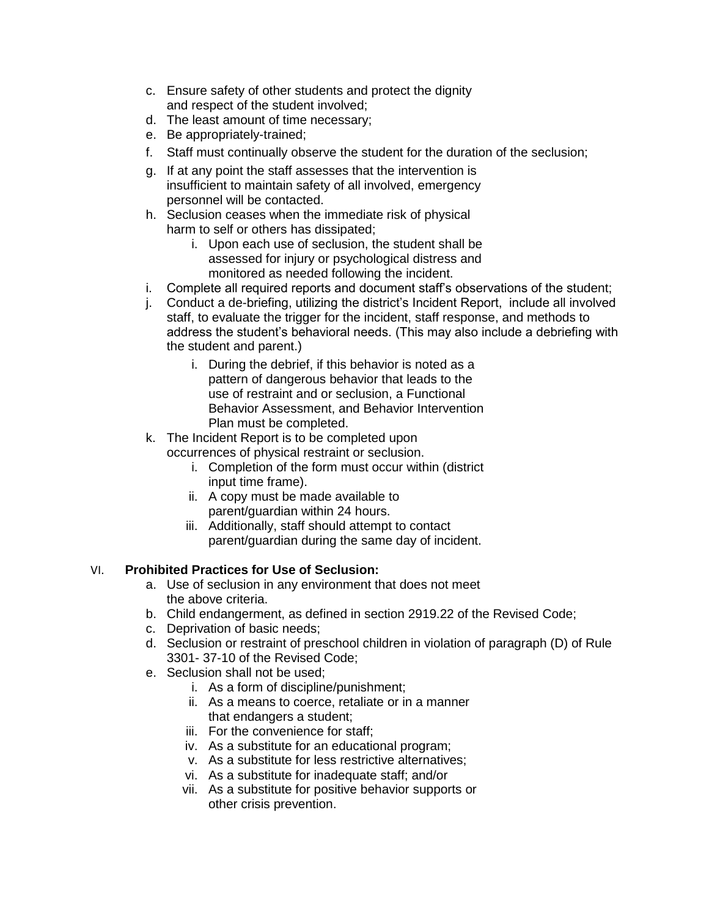- c. Ensure safety of other students and protect the dignity and respect of the student involved;
- d. The least amount of time necessary;
- e. Be appropriately-trained;
- f. Staff must continually observe the student for the duration of the seclusion;
- g. If at any point the staff assesses that the intervention is insufficient to maintain safety of all involved, emergency personnel will be contacted.
- h. Seclusion ceases when the immediate risk of physical harm to self or others has dissipated;
	- i. Upon each use of seclusion, the student shall be assessed for injury or psychological distress and monitored as needed following the incident.
- i. Complete all required reports and document staff's observations of the student;
- j. Conduct a de-briefing, utilizing the district's Incident Report, include all involved staff, to evaluate the trigger for the incident, staff response, and methods to address the student's behavioral needs. (This may also include a debriefing with the student and parent.)
	- i. During the debrief, if this behavior is noted as a pattern of dangerous behavior that leads to the use of restraint and or seclusion, a Functional Behavior Assessment, and Behavior Intervention Plan must be completed.
- k. The Incident Report is to be completed upon occurrences of physical restraint or seclusion.
	- i. Completion of the form must occur within (district input time frame).
	- ii. A copy must be made available to parent/guardian within 24 hours.
	- iii. Additionally, staff should attempt to contact parent/guardian during the same day of incident.

# VI. **Prohibited Practices for Use of Seclusion:**

- a. Use of seclusion in any environment that does not meet the above criteria.
- b. Child endangerment, as defined in section 2919.22 of the Revised Code;
- c. Deprivation of basic needs;
- d. Seclusion or restraint of preschool children in violation of paragraph (D) of Rule 3301- 37-10 of the Revised Code;
- e. Seclusion shall not be used;
	- i. As a form of discipline/punishment;
	- ii. As a means to coerce, retaliate or in a manner that endangers a student;
	- iii. For the convenience for staff;
	- iv. As a substitute for an educational program;
	- v. As a substitute for less restrictive alternatives;
	- vi. As a substitute for inadequate staff; and/or
	- vii. As a substitute for positive behavior supports or other crisis prevention.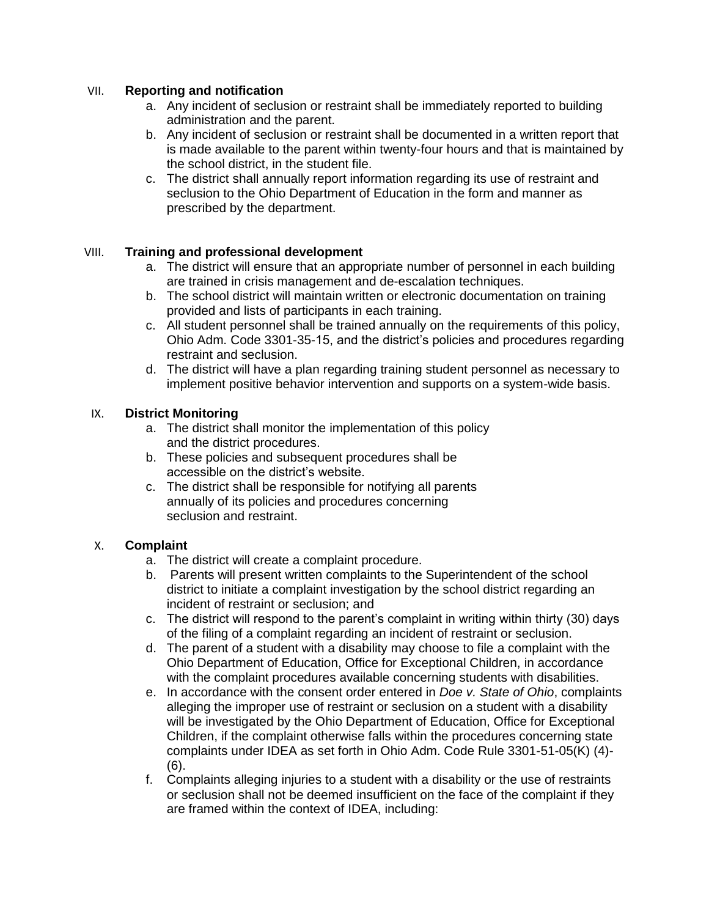## VII. **Reporting and notification**

- a. Any incident of seclusion or restraint shall be immediately reported to building administration and the parent.
- b. Any incident of seclusion or restraint shall be documented in a written report that is made available to the parent within twenty-four hours and that is maintained by the school district, in the student file.
- c. The district shall annually report information regarding its use of restraint and seclusion to the Ohio Department of Education in the form and manner as prescribed by the department.

## VIII. **Training and professional development**

- a. The district will ensure that an appropriate number of personnel in each building are trained in crisis management and de-escalation techniques.
- b. The school district will maintain written or electronic documentation on training provided and lists of participants in each training.
- c. All student personnel shall be trained annually on the requirements of this policy, Ohio Adm. Code 3301-35-15, and the district's policies and procedures regarding restraint and seclusion.
- d. The district will have a plan regarding training student personnel as necessary to implement positive behavior intervention and supports on a system-wide basis.

## IX. **District Monitoring**

- a. The district shall monitor the implementation of this policy and the district procedures.
- b. These policies and subsequent procedures shall be accessible on the district's website.
- c. The district shall be responsible for notifying all parents annually of its policies and procedures concerning seclusion and restraint.

## X. **Complaint**

- a. The district will create a complaint procedure.
- b. Parents will present written complaints to the Superintendent of the school district to initiate a complaint investigation by the school district regarding an incident of restraint or seclusion; and
- c. The district will respond to the parent's complaint in writing within thirty (30) days of the filing of a complaint regarding an incident of restraint or seclusion.
- d. The parent of a student with a disability may choose to file a complaint with the Ohio Department of Education, Office for Exceptional Children, in accordance with the complaint procedures available concerning students with disabilities.
- e. In accordance with the consent order entered in *Doe v. State of Ohio*, complaints alleging the improper use of restraint or seclusion on a student with a disability will be investigated by the Ohio Department of Education, Office for Exceptional Children, if the complaint otherwise falls within the procedures concerning state complaints under IDEA as set forth in Ohio Adm. Code Rule 3301-51-05(K) (4)- (6).
- f. Complaints alleging injuries to a student with a disability or the use of restraints or seclusion shall not be deemed insufficient on the face of the complaint if they are framed within the context of IDEA, including: